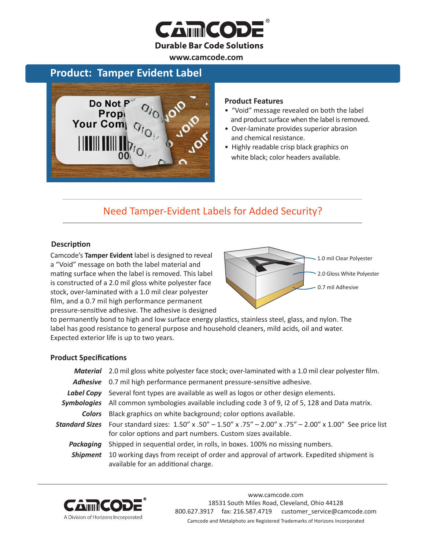

**www.camcode.com**

# **Product: Tamper Evident Label**



### **Product Features**

- "Void" message revealed on both the label and product surface when the label is removed.
- Over-laminate provides superior abrasion and chemical resistance.
- Highly readable crisp black graphics on white black; color headers available.

# Need Tamper-Evident Labels for Added Security?

## **Description**

Camcode's **Tamper Evident** label is designed to reveal a "Void" message on both the label material and mating surface when the label is removed. This label is constructed of a 2.0 mil gloss white polyester face stock, over-laminated with a 1.0 mil clear polyester film, and a 0.7 mil high performance permanent pressure-sensitive adhesive. The adhesive is designed



to permanently bond to high and low surface energy plastics, stainless steel, glass, and nylon. The label has good resistance to general purpose and household cleaners, mild acids, oil and water. Expected exterior life is up to two years.

### **Product Specifications**

|           | <b>Material</b> 2.0 mil gloss white polyester face stock; over-laminated with a 1.0 mil clear polyester film.                                                                                                     |  |  |
|-----------|-------------------------------------------------------------------------------------------------------------------------------------------------------------------------------------------------------------------|--|--|
|           | Adhesive 0.7 mil high performance permanent pressure-sensitive adhesive.                                                                                                                                          |  |  |
|           | Label Copy Several font types are available as well as logos or other design elements.                                                                                                                            |  |  |
|           | Symbologies All common symbologies available including code 3 of 9, 12 of 5, 128 and Data matrix.                                                                                                                 |  |  |
|           | <b>Colors</b> Black graphics on white background; color options available.                                                                                                                                        |  |  |
|           | <b>Standard Sizes</b> Four standard sizes: $1.50'' \times .50'' - 1.50'' \times .75'' - 2.00'' \times .75'' - 2.00'' \times 1.00''$ See price list<br>for color options and part numbers. Custom sizes available. |  |  |
| Packaging | Shipped in sequential order, in rolls, in boxes. 100% no missing numbers.                                                                                                                                         |  |  |
| Shipment  | 10 working days from receipt of order and approval of artwork. Expedited shipment is<br>available for an additional charge.                                                                                       |  |  |